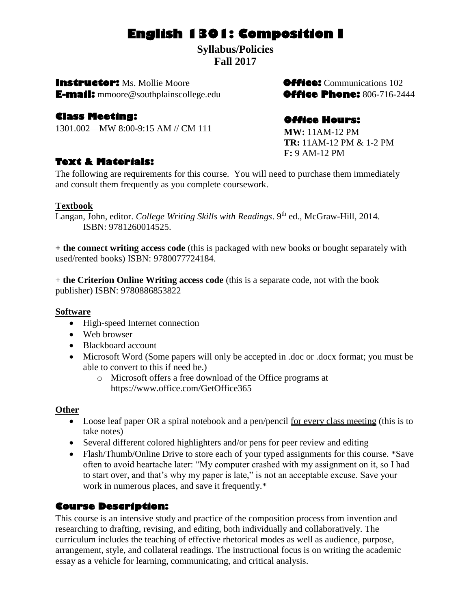# **English 1301: Composition I**

**Syllabus/Policies Fall 2017**

**Instructor:** Ms. Mollie Moore **Communications 102 E-mail:** mmoore@southplainscollege.edu**Office Phone:** 806-716-2444

# **Class Meeting:**

1301.002—MW 8:00-9:15 AM // CM 111

# **Text & Materials:**

The following are requirements for this course. You will need to purchase them immediately and consult them frequently as you complete coursework.

## **Textbook**

Langan, John, editor. *College Writing Skills with Readings*. 9<sup>th</sup> ed., McGraw-Hill, 2014. ISBN: 9781260014525.

**+ the connect writing access code** (this is packaged with new books or bought separately with used/rented books) ISBN: 9780077724184.

+ **the Criterion Online Writing access code** (this is a separate code, not with the book publisher) ISBN: 9780886853822

## **Software**

- High-speed Internet connection
- Web browser
- Blackboard account
- Microsoft Word (Some papers will only be accepted in .doc or .docx format; you must be able to convert to this if need be.)
	- o Microsoft offers a free download of the Office programs at https://www.office.com/GetOffice365

## **Other**

- Loose leaf paper OR a spiral notebook and a pen/pencil for every class meeting (this is to take notes)
- Several different colored highlighters and/or pens for peer review and editing
- Flash/Thumb/Online Drive to store each of your typed assignments for this course. \*Save often to avoid heartache later: "My computer crashed with my assignment on it, so I had to start over, and that's why my paper is late," is not an acceptable excuse. Save your work in numerous places, and save it frequently.\*

# **Course Description:**

This course is an intensive study and practice of the composition process from invention and researching to drafting, revising, and editing, both individually and collaboratively. The curriculum includes the teaching of effective rhetorical modes as well as audience, purpose, arrangement, style, and collateral readings. The instructional focus is on writing the academic essay as a vehicle for learning, communicating, and critical analysis.

# **Office Hours:**

**MW:** 11AM-12 PM **TR:** 11AM-12 PM & 1-2 PM **F:** 9 AM-12 PM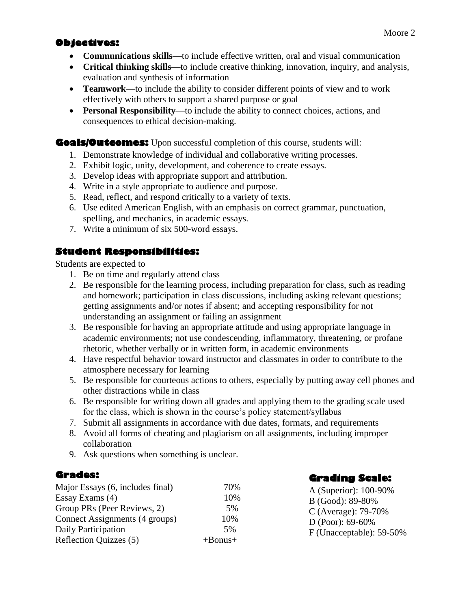# **Objectives:**

- **Communications skills**—to include effective written, oral and visual communication
- **Critical thinking skills**—to include creative thinking, innovation, inquiry, and analysis, evaluation and synthesis of information
- **Teamwork**—to include the ability to consider different points of view and to work effectively with others to support a shared purpose or goal
- **Personal Responsibility**—to include the ability to connect choices, actions, and consequences to ethical decision-making.

# **Goals/Outcomes:** Upon successful completion of this course, students will:

- 1. Demonstrate knowledge of individual and collaborative writing processes.
- 2. Exhibit logic, unity, development, and coherence to create essays.
- 3. Develop ideas with appropriate support and attribution.
- 4. Write in a style appropriate to audience and purpose.
- 5. Read, reflect, and respond critically to a variety of texts.
- 6. Use edited American English, with an emphasis on correct grammar, punctuation, spelling, and mechanics, in academic essays.
- 7. Write a minimum of six 500-word essays.

# **Student Responsibilities:**

Students are expected to

- 1. Be on time and regularly attend class
- 2. Be responsible for the learning process, including preparation for class, such as reading and homework; participation in class discussions, including asking relevant questions; getting assignments and/or notes if absent; and accepting responsibility for not understanding an assignment or failing an assignment
- 3. Be responsible for having an appropriate attitude and using appropriate language in academic environments; not use condescending, inflammatory, threatening, or profane rhetoric, whether verbally or in written form, in academic environments
- 4. Have respectful behavior toward instructor and classmates in order to contribute to the atmosphere necessary for learning
- 5. Be responsible for courteous actions to others, especially by putting away cell phones and other distractions while in class
- 6. Be responsible for writing down all grades and applying them to the grading scale used for the class, which is shown in the course's policy statement/syllabus
- 7. Submit all assignments in accordance with due dates, formats, and requirements
- 8. Avoid all forms of cheating and plagiarism on all assignments, including improper collaboration
- 9. Ask questions when something is unclear.

# **Grades:**

| Major Essays (6, includes final) | 70%           |  |
|----------------------------------|---------------|--|
| Essay Exams (4)                  | 10%           |  |
| Group PRs (Peer Reviews, 2)      | 5%            |  |
| Connect Assignments (4 groups)   | 10%           |  |
| Daily Participation              | 5%            |  |
| Reflection Quizzes (5)           | $+$ Bonus $+$ |  |

# **Grading Scale:**

A (Superior): 100-90% B (Good): 89-80% C (Average): 79-70% D (Poor): 69-60% F (Unacceptable): 59-50%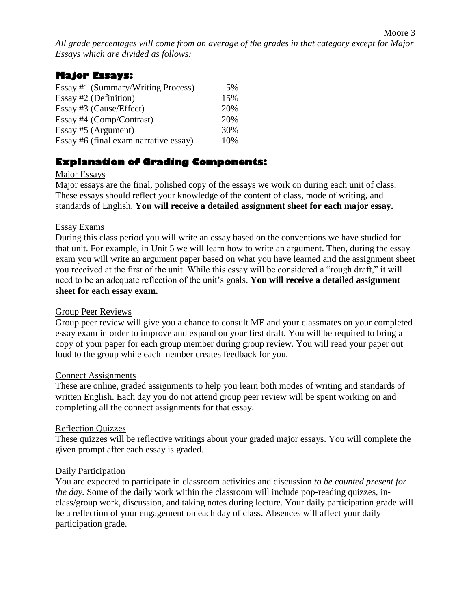*All grade percentages will come from an average of the grades in that category except for Major Essays which are divided as follows:*

# **Major Essays:**

| Essay #1 (Summary/Writing Process)    | 5%  |
|---------------------------------------|-----|
| Essay #2 (Definition)                 | 15% |
| Essay #3 (Cause/Effect)               | 20% |
| Essay #4 (Comp/Contrast)              | 20% |
| Essay #5 (Argument)                   | 30% |
| Essay #6 (final exam narrative essay) | 10% |

# **Explanation of Grading Components:**

## Major Essays

Major essays are the final, polished copy of the essays we work on during each unit of class. These essays should reflect your knowledge of the content of class, mode of writing, and standards of English. **You will receive a detailed assignment sheet for each major essay.**

#### Essay Exams

During this class period you will write an essay based on the conventions we have studied for that unit. For example, in Unit 5 we will learn how to write an argument. Then, during the essay exam you will write an argument paper based on what you have learned and the assignment sheet you received at the first of the unit. While this essay will be considered a "rough draft," it will need to be an adequate reflection of the unit's goals. **You will receive a detailed assignment sheet for each essay exam.**

#### Group Peer Reviews

Group peer review will give you a chance to consult ME and your classmates on your completed essay exam in order to improve and expand on your first draft. You will be required to bring a copy of your paper for each group member during group review. You will read your paper out loud to the group while each member creates feedback for you.

#### Connect Assignments

These are online, graded assignments to help you learn both modes of writing and standards of written English. Each day you do not attend group peer review will be spent working on and completing all the connect assignments for that essay.

#### Reflection Quizzes

These quizzes will be reflective writings about your graded major essays. You will complete the given prompt after each essay is graded.

#### Daily Participation

You are expected to participate in classroom activities and discussion *to be counted present for the day.* Some of the daily work within the classroom will include pop-reading quizzes, inclass/group work, discussion, and taking notes during lecture. Your daily participation grade will be a reflection of your engagement on each day of class. Absences will affect your daily participation grade.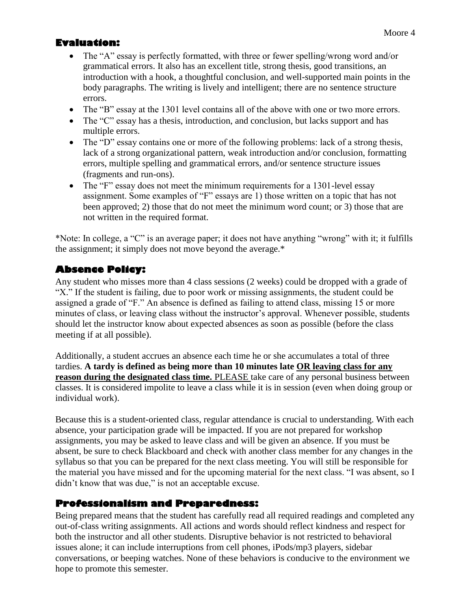# **Evaluation:**

- The "A" essay is perfectly formatted, with three or fewer spelling/wrong word and/or grammatical errors. It also has an excellent title, strong thesis, good transitions, an introduction with a hook, a thoughtful conclusion, and well-supported main points in the body paragraphs. The writing is lively and intelligent; there are no sentence structure errors.
- The "B" essay at the 1301 level contains all of the above with one or two more errors.
- The "C" essay has a thesis, introduction, and conclusion, but lacks support and has multiple errors.
- The "D" essay contains one or more of the following problems: lack of a strong thesis, lack of a strong organizational pattern, weak introduction and/or conclusion, formatting errors, multiple spelling and grammatical errors, and/or sentence structure issues (fragments and run-ons).
- The "F" essay does not meet the minimum requirements for a 1301-level essay assignment. Some examples of "F" essays are 1) those written on a topic that has not been approved; 2) those that do not meet the minimum word count; or 3) those that are not written in the required format.

\*Note: In college, a "C" is an average paper; it does not have anything "wrong" with it; it fulfills the assignment; it simply does not move beyond the average.\*

# **Absence Policy:**

Any student who misses more than 4 class sessions (2 weeks) could be dropped with a grade of "X." If the student is failing, due to poor work or missing assignments, the student could be assigned a grade of "F." An absence is defined as failing to attend class, missing 15 or more minutes of class, or leaving class without the instructor's approval. Whenever possible, students should let the instructor know about expected absences as soon as possible (before the class meeting if at all possible).

Additionally, a student accrues an absence each time he or she accumulates a total of three tardies. **A tardy is defined as being more than 10 minutes late OR leaving class for any reason during the designated class time.** PLEASE take care of any personal business between classes. It is considered impolite to leave a class while it is in session (even when doing group or individual work).

Because this is a student-oriented class, regular attendance is crucial to understanding. With each absence, your participation grade will be impacted. If you are not prepared for workshop assignments, you may be asked to leave class and will be given an absence. If you must be absent, be sure to check Blackboard and check with another class member for any changes in the syllabus so that you can be prepared for the next class meeting. You will still be responsible for the material you have missed and for the upcoming material for the next class. "I was absent, so I didn't know that was due," is not an acceptable excuse.

# **Professionalism and Preparedness:**

Being prepared means that the student has carefully read all required readings and completed any out-of-class writing assignments. All actions and words should reflect kindness and respect for both the instructor and all other students. Disruptive behavior is not restricted to behavioral issues alone; it can include interruptions from cell phones, iPods/mp3 players, sidebar conversations, or beeping watches. None of these behaviors is conducive to the environment we hope to promote this semester.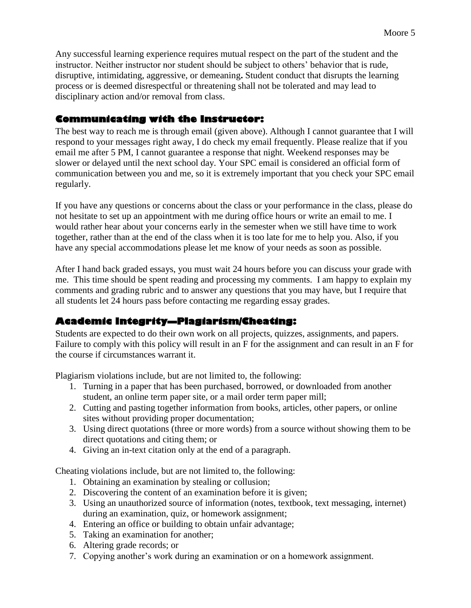Any successful learning experience requires mutual respect on the part of the student and the instructor. Neither instructor nor student should be subject to others' behavior that is rude, disruptive, intimidating, aggressive, or demeaning**.** Student conduct that disrupts the learning process or is deemed disrespectful or threatening shall not be tolerated and may lead to disciplinary action and/or removal from class.

# **Communicating with the Instructor:**

The best way to reach me is through email (given above). Although I cannot guarantee that I will respond to your messages right away, I do check my email frequently. Please realize that if you email me after 5 PM, I cannot guarantee a response that night. Weekend responses may be slower or delayed until the next school day. Your SPC email is considered an official form of communication between you and me, so it is extremely important that you check your SPC email regularly.

If you have any questions or concerns about the class or your performance in the class, please do not hesitate to set up an appointment with me during office hours or write an email to me. I would rather hear about your concerns early in the semester when we still have time to work together, rather than at the end of the class when it is too late for me to help you. Also, if you have any special accommodations please let me know of your needs as soon as possible.

After I hand back graded essays, you must wait 24 hours before you can discuss your grade with me. This time should be spent reading and processing my comments. I am happy to explain my comments and grading rubric and to answer any questions that you may have, but I require that all students let 24 hours pass before contacting me regarding essay grades.

# **Academic Integrity—Plagiarism/Cheating:**

Students are expected to do their own work on all projects, quizzes, assignments, and papers. Failure to comply with this policy will result in an F for the assignment and can result in an F for the course if circumstances warrant it.

Plagiarism violations include, but are not limited to, the following:

- 1. Turning in a paper that has been purchased, borrowed, or downloaded from another student, an online term paper site, or a mail order term paper mill;
- 2. Cutting and pasting together information from books, articles, other papers, or online sites without providing proper documentation;
- 3. Using direct quotations (three or more words) from a source without showing them to be direct quotations and citing them; or
- 4. Giving an in-text citation only at the end of a paragraph.

Cheating violations include, but are not limited to, the following:

- 1. Obtaining an examination by stealing or collusion;
- 2. Discovering the content of an examination before it is given;
- 3. Using an unauthorized source of information (notes, textbook, text messaging, internet) during an examination, quiz, or homework assignment;
- 4. Entering an office or building to obtain unfair advantage;
- 5. Taking an examination for another;
- 6. Altering grade records; or
- 7. Copying another's work during an examination or on a homework assignment.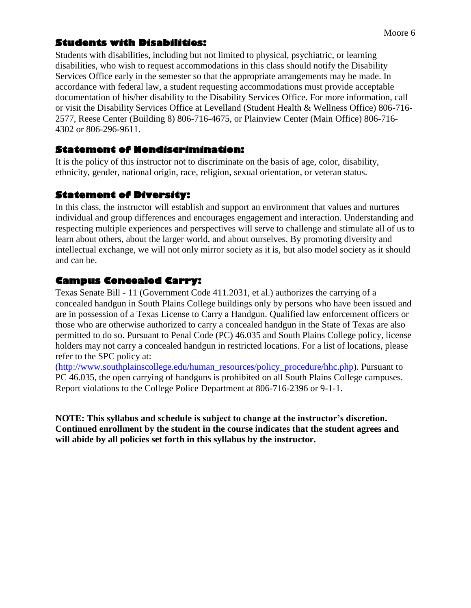# **Students with Disabilities:**

Students with disabilities, including but not limited to physical, psychiatric, or learning disabilities, who wish to request accommodations in this class should notify the Disability Services Office early in the semester so that the appropriate arrangements may be made. In accordance with federal law, a student requesting accommodations must provide acceptable documentation of his/her disability to the Disability Services Office. For more information, call or visit the Disability Services Office at Levelland (Student Health & Wellness Office) 806-716- 2577, Reese Center (Building 8) 806-716-4675, or Plainview Center (Main Office) 806-716- 4302 or 806-296-9611.

# **Statement of Nondiscrimination:**

It is the policy of this instructor not to discriminate on the basis of age, color, disability, ethnicity, gender, national origin, race, religion, sexual orientation, or veteran status.

# **Statement of Diversity:**

In this class, the instructor will establish and support an environment that values and nurtures individual and group differences and encourages engagement and interaction. Understanding and respecting multiple experiences and perspectives will serve to challenge and stimulate all of us to learn about others, about the larger world, and about ourselves. By promoting diversity and intellectual exchange, we will not only mirror society as it is, but also model society as it should and can be.

# **Campus Concealed Carry:**

Texas Senate Bill - 11 (Government Code 411.2031, et al.) authorizes the carrying of a concealed handgun in South Plains College buildings only by persons who have been issued and are in possession of a Texas License to Carry a Handgun. Qualified law enforcement officers or those who are otherwise authorized to carry a concealed handgun in the State of Texas are also permitted to do so. Pursuant to Penal Code (PC) 46.035 and South Plains College policy, license holders may not carry a concealed handgun in restricted locations. For a list of locations, please refer to the SPC policy at:

[\(http://www.southplainscollege.edu/human\\_resources/policy\\_procedure/hhc.php\)](http://www.southplainscollege.edu/human_resources/policy_procedure/hhc.php). Pursuant to PC 46.035, the open carrying of handguns is prohibited on all South Plains College campuses. Report violations to the College Police Department at 806-716-2396 or 9-1-1.

**NOTE: This syllabus and schedule is subject to change at the instructor's discretion. Continued enrollment by the student in the course indicates that the student agrees and will abide by all policies set forth in this syllabus by the instructor.**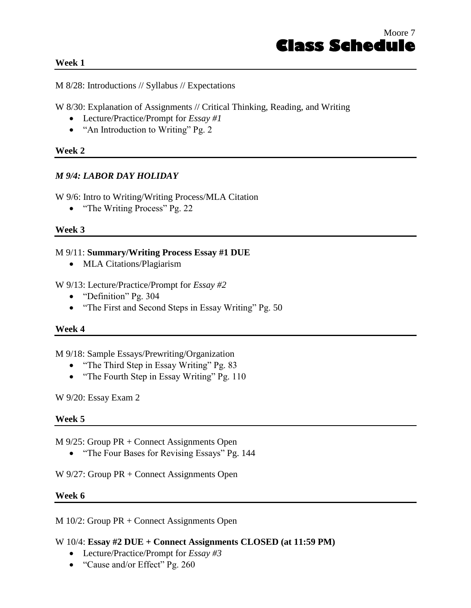#### **Week 1**

M 8/28: Introductions // Syllabus // Expectations

W 8/30: Explanation of Assignments // Critical Thinking, Reading, and Writing

- Lecture/Practice/Prompt for *Essay #1*
- "An Introduction to Writing" Pg. 2

#### **Week 2**

#### *M 9/4: LABOR DAY HOLIDAY*

W 9/6: Intro to Writing/Writing Process/MLA Citation

• "The Writing Process" Pg. 22

#### **Week 3**

#### M 9/11: **Summary/Writing Process Essay #1 DUE**

• MLA Citations/Plagiarism

W 9/13: Lecture/Practice/Prompt for *Essay #2*

- "Definition" Pg. 304
- "The First and Second Steps in Essay Writing" Pg. 50

#### **Week 4**

M 9/18: Sample Essays/Prewriting/Organization

- "The Third Step in Essay Writing" Pg. 83
- "The Fourth Step in Essay Writing" Pg. 110

W 9/20: Essay Exam 2

#### **Week 5**

M 9/25: Group PR + Connect Assignments Open

• "The Four Bases for Revising Essays" Pg. 144

W 9/27: Group PR + Connect Assignments Open

#### **Week 6**

M 10/2: Group PR + Connect Assignments Open

#### W 10/4: **Essay #2 DUE + Connect Assignments CLOSED (at 11:59 PM)**

- Lecture/Practice/Prompt for *Essay #3*
- "Cause and/or Effect" Pg. 260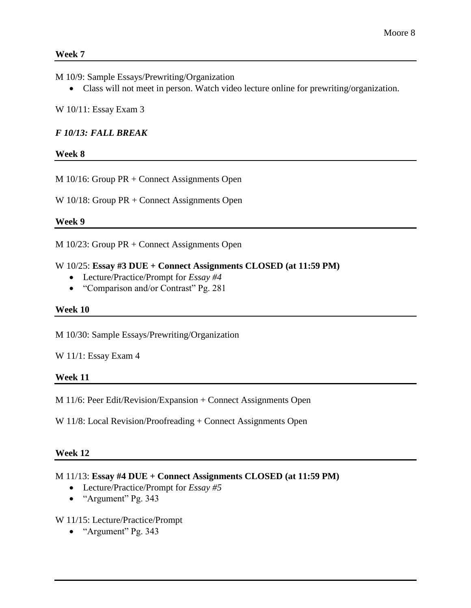#### **Week 7**

M 10/9: Sample Essays/Prewriting/Organization

Class will not meet in person. Watch video lecture online for prewriting/organization.

W 10/11: Essay Exam 3

# *F 10/13: FALL BREAK*

# **Week 8**

M 10/16: Group PR + Connect Assignments Open

W 10/18: Group PR + Connect Assignments Open

## **Week 9**

M 10/23: Group PR + Connect Assignments Open

# W 10/25: **Essay #3 DUE + Connect Assignments CLOSED (at 11:59 PM)**

- Lecture/Practice/Prompt for *Essay #4*
- "Comparison and/or Contrast" Pg. 281

## **Week 10**

M 10/30: Sample Essays/Prewriting/Organization

## W 11/1: Essay Exam 4

## **Week 11**

M 11/6: Peer Edit/Revision/Expansion + Connect Assignments Open

W 11/8: Local Revision/Proofreading + Connect Assignments Open

#### **Week 12**

## M 11/13: **Essay #4 DUE + Connect Assignments CLOSED (at 11:59 PM)**

- Lecture/Practice/Prompt for *Essay #5*
- "Argument" Pg. 343

## W 11/15: Lecture/Practice/Prompt

• "Argument" Pg. 343